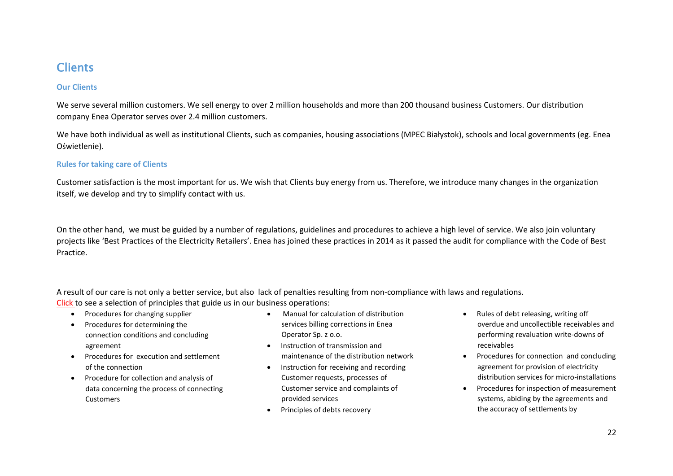# **Clients**

# **Our Clients**

We serve several million customers. We sell energy to over 2 million households and more than 200 thousand business Customers. Our distribution company Enea Operator serves over 2.4 million customers.

We have both individual as well as institutional Clients, such as companies, housing associations (MPEC Białystok), schools and local governments (eg. Enea Oświetlenie).

# **Rules for taking care of Clients**

Customer satisfaction is the most important for us. We wish that Clients buy energy from us. Therefore, we introduce many changes in the organization itself, we develop and try to simplify contact with us.

On the other hand, we must be guided by a number of regulations, guidelines and procedures to achieve a high level of service. We also join voluntary projects like 'Best Practices of the Electricity Retailers'. Enea has joined these practices in 2014 as it passed the audit for compliance with the Code of Best Practice.

A result of our care is not only a better service, but also lack of penalties resulting from non-compliance with laws and regulations. Click to see a selection of principles that guide us in our business operations:

- Procedures for changing supplier
- Procedures for determining the connection conditions and concluding agreement
- Procedures for execution and settlement of the connection
- Procedure for collection and analysis of data concerning the process of connecting **Customers**
- Manual for calculation of distribution services billing corrections in Enea Operator Sp. z o.o.
- Instruction of transmission and maintenance of the distribution network
- Instruction for receiving and recording Customer requests, processes of Customer service and complaints of provided services
- Principles of debts recovery
- Rules of debt releasing, writing off overdue and uncollectible receivables and performing revaluation write-downs of receivables
- Procedures for connection and concluding agreement for provision of electricity distribution services for micro-installations
- Procedures for inspection of measurement systems, abiding by the agreements and the accuracy of settlements by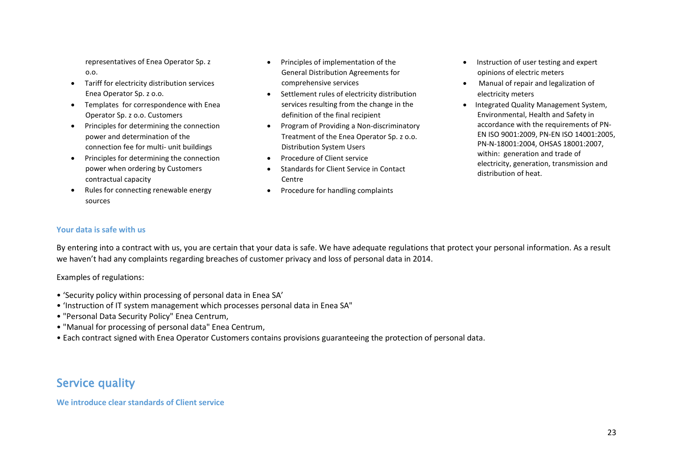representatives of Enea Operator Sp. z o.o.

- Tariff for electricity distribution services Enea Operator Sp. z o.o.
- Templates for correspondence with Enea Operator Sp. z o.o. Customers
- Principles for determining the connection power and determination of the connection fee for multi- unit buildings
- Principles for determining the connection power when ordering by Customers contractual capacity
- Rules for connecting renewable energy sources
- Principles of implementation of the General Distribution Agreements for comprehensive services
- Settlement rules of electricity distribution services resulting from the change in the definition of the final recipient
- Program of Providing a Non-discriminatory Treatment of the Enea Operator Sp. z o.o. Distribution System Users
- Procedure of Client service
- Standards for Client Service in Contact Centre
- Procedure for handling complaints
- Instruction of user testing and expert opinions of electric meters
- Manual of repair and legalization of electricity meters
- Integrated Quality Management System, Environmental, Health and Safety in accordance with the requirements of PN-EN ISO 9001:2009, PN-EN ISO 14001:2005, PN-N-18001:2004, OHSAS 18001:2007, within: generation and trade of electricity, generation, transmission and distribution of heat.

## **Your data is safe with us**

By entering into a contract with us, you are certain that your data is safe. We have adequate regulations that protect your personal information. As a result we haven't had any complaints regarding breaches of customer privacy and loss of personal data in 2014.

Examples of regulations:

- 'Security policy within processing of personal data in Enea SA'
- 'Instruction of IT system management which processes personal data in Enea SA"
- "Personal Data Security Policy" Enea Centrum,
- "Manual for processing of personal data" Enea Centrum,
- Each contract signed with Enea Operator Customers contains provisions guaranteeing the protection of personal data.

# Service quality

**We introduce clear standards of Client service**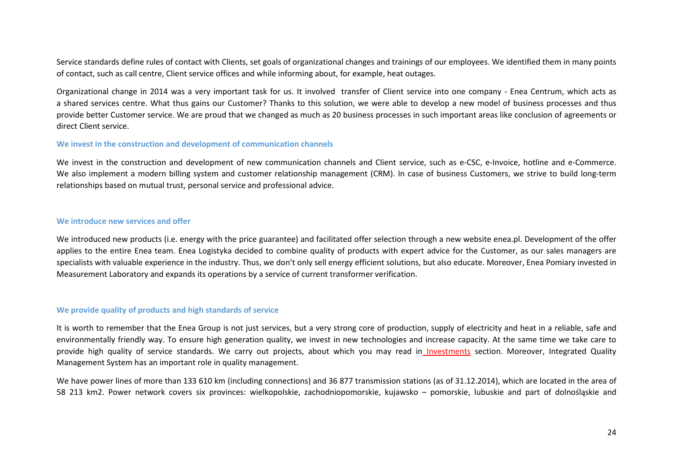Service standards define rules of contact with Clients, set goals of organizational changes and trainings of our employees. We identified them in many points of contact, such as call centre, Client service offices and while informing about, for example, heat outages.

Organizational change in 2014 was a very important task for us. It involved transfer of Client service into one company - Enea Centrum, which acts as a shared services centre. What thus gains our Customer? Thanks to this solution, we were able to develop a new model of business processes and thus provide better Customer service. We are proud that we changed as much as 20 business processes in such important areas like conclusion of agreements or direct Client service.

#### **We invest in the construction and development of communication channels**

We invest in the construction and development of new communication channels and Client service, such as e-CSC, e-Invoice, hotline and e-Commerce. We also implement a modern billing system and customer relationship management (CRM). In case of business Customers, we strive to build long-term relationships based on mutual trust, personal service and professional advice.

#### **We introduce new services and offer**

We introduced new products (i.e. energy with the price guarantee) and facilitated offer selection through a new website enea.pl. Development of the offer applies to the entire Enea team. Enea Logistyka decided to combine quality of products with expert advice for the Customer, as our sales managers are specialists with valuable experience in the industry. Thus, we don't only sell energy efficient solutions, but also educate. Moreover, Enea Pomiary invested in Measurement Laboratory and expands its operations by a service of current transformer verification.

### **We provide quality of products and high standards of service**

It is worth to remember that the Enea Group is not just services, but a very strong core of production, supply of electricity and heat in a reliable, safe and environmentally friendly way. To ensure high generation quality, we invest in new technologies and increase capacity. At the same time we take care to provide high quality of service standards. We carry out projects, about which you may read in Investments section. Moreover, Integrated Quality Management System has an important role in quality management.

We have power lines of more than 133 610 km (including connections) and 36 877 transmission stations (as of 31.12.2014), which are located in the area of 58 213 km2. Power network covers six provinces: wielkopolskie, zachodniopomorskie, kujawsko – pomorskie, lubuskie and part of dolnośląskie and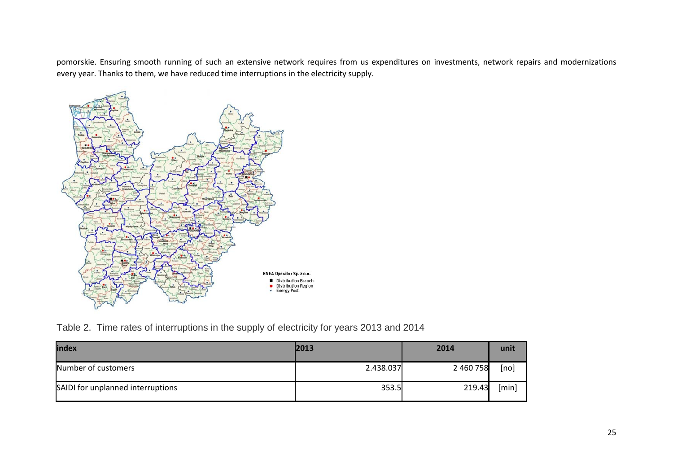pomorskie. Ensuring smooth running of such an extensive network requires from us expenditures on investments, network repairs and modernizations every year. Thanks to them, we have reduced time interruptions in the electricity supply.



Table 2. Time rates of interruptions in the supply of electricity for years 2013 and 2014

| index                             | 2013      | 2014      | unit  |
|-----------------------------------|-----------|-----------|-------|
| Number of customers               | 2.438.037 | 2 460 758 | [no]  |
| SAIDI for unplanned interruptions | 353.5     | 219.43    | [min] |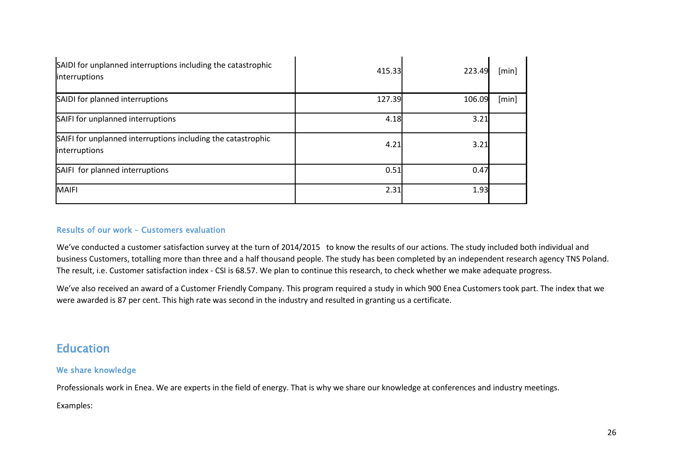| SAIDI for unplanned interruptions including the catastrophic<br>interruptions | 415.33 | 223.49 | [min] |
|-------------------------------------------------------------------------------|--------|--------|-------|
| SAIDI for planned interruptions                                               | 127.39 | 106.09 | [min] |
| SAIFI for unplanned interruptions                                             | 4.18   | 3.21   |       |
| SAIFI for unplanned interruptions including the catastrophic<br>interruptions | 4.21   | 3.21   |       |
| SAIFI for planned interruptions                                               | 0.51   | 0.47   |       |
| MAIFI                                                                         | 2.31   | 1.93   |       |

# Results of our work – Customers evaluation

We've conducted a customer satisfaction survey at the turn of 2014/2015 to know the results of our actions. The study included both individual and business Customers, totalling more than three and a half thousand people. The study has been completed by an independent research agency TNS Poland. The result, i.e. Customer satisfaction index - CSI is 68.57. We plan to continue this research, to check whether we make adequate progress.

We've also received an award of a Customer Friendly Company. This program required a study in which 900 Enea Customers took part. The index that we were awarded is 87 per cent. This high rate was second in the industry and resulted in granting us a certificate.

# Education

# We share knowledge

Professionals work in Enea. We are experts in the field of energy. That is why we share our knowledge at conferences and industry meetings.

# Examples: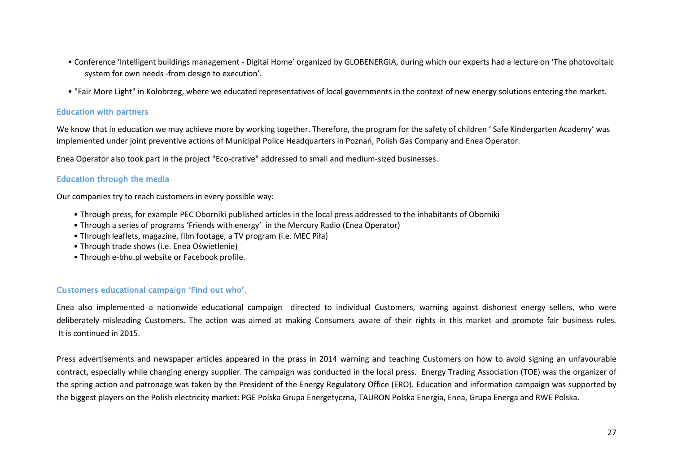- Conference 'Intelligent buildings management Digital Home' organized by GLOBENERGIA, during which our experts had a lecture on 'The photovoltaic system for own needs -from design to execution'.
- "Fair More Light" in Kołobrzeg, where we educated representatives of local governments in the context of new energy solutions entering the market.

### Education with partners

We know that in education we may achieve more by working together. Therefore, the program for the safety of children ' Safe Kindergarten Academy' was implemented under joint preventive actions of Municipal Police Headquarters in Poznań, Polish Gas Company and Enea Operator.

Enea Operator also took part in the project "Eco-crative" addressed to small and medium-sized businesses.

## Education through the media

Our companies try to reach customers in every possible way:

- Through press, for example PEC Oborniki published articles in the local press addressed to the inhabitants of Oborniki
- Through a series of programs 'Friends with energy' in the Mercury Radio (Enea Operator)
- Through leaflets, magazine, film footage, a TV program (i.e. MEC Piła)
- Through trade shows (i.e. Enea Oświetlenie)
- Through e-bhu.pl website or Facebook profile.

### Customers educational campaign 'Find out who'.

Enea also implemented a nationwide educational campaign directed to individual Customers, warning against dishonest energy sellers, who were deliberately misleading Customers. The action was aimed at making Consumers aware of their rights in this market and promote fair business rules. It is continued in 2015.

Press advertisements and newspaper articles appeared in the prass in 2014 warning and teaching Customers on how to avoid signing an unfavourable contract, especially while changing energy supplier. The campaign was conducted in the local press. Energy Trading Association (TOE) was the organizer of the spring action and patronage was taken by the President of the Energy Regulatory Office (ERO). Education and information campaign was supported by the biggest players on the Polish electricity market: PGE Polska Grupa Energetyczna, TAURON Polska Energia, Enea, Grupa Energa and RWE Polska.